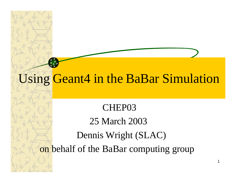# Using Geant4 in the BaBar Simulation

#### CHEP03

### 25 March 2003

#### Dennis Wright (SLAC)

on behalf of the BaBar computing group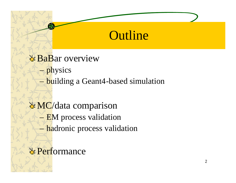### **Outline**

**& BaBar overview** – physics – building a Geant4-based simulation

**MC**/data comparison – EM process validation hadronic process validation

**& Performance**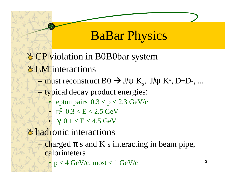## **BaBar Physics**

- **CP** violation in B0B0bar system
- **EM** interactions
	- $\rightarrow$  must reconstruct B0  $\rightarrow$  J/ $\psi$  K<sub>s</sub>, J/ $\psi$  K<sup>\*</sup>, D+D-, ...
	- typical decay product energies:
		- lepton pairs  $0.3 < p < 2.3$  GeV/c
		- $\bullet$   $\pi^0$   $0.3 < E < 2.5 \text{ GeV}$
		- $γ$  0.1 < E < 4.5 GeV

*<u>Le hadronic</u>* interactions

 $-\frac{\text{charged}}{\text{m}}$  s and K s interacting in beam pipe, calorimeters

 $p < 4$  GeV/c, most  $< 1$  GeV/c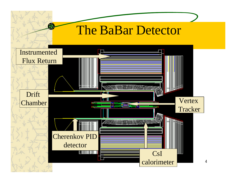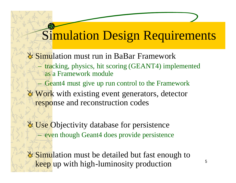# Simulation Design Requirements

- **Simulation must run in BaBar Framework** – tracking, physics, hit scoring (GEANT4) implemented as a Framework module
	- Geant4 must give up run control to the Framework
- **Work** with existing event generators, detector response and reconstruction codes
- Use Objectivity database for persistence – even though Geant4 does provide persistence
- **Simulation must be detailed but fast enough to** keep up with high-luminosity production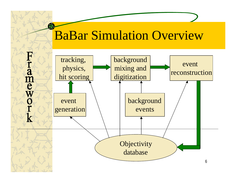## BaBar Simulation Overview

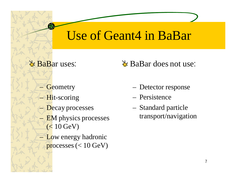## Use of Geant4 in BaBar

**& BaBar uses:** 

– Geometry

 $-$  Hit-scoring

– Decay processes

**EM** physics processes  $(< 10$  GeV)

– Low energy hadronic processes  $(< 10 \text{ GeV})$  **BaBar does not use:** 

– Detector response

– Persistence

– Standard particle transport/navigation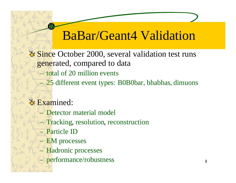## BaBar/Geant4 Validation

**& Since October 2000, several validation test runs** generated, compared to data

- total of 20 million events
- 25 different event types: B0B0bar, bhabhas, dimuons

#### **& Examined:**

- Detector material model
- Tracking, resolution, reconstruction
- Particle ID
- EM processes
- Hadronic processes
- performance/robustness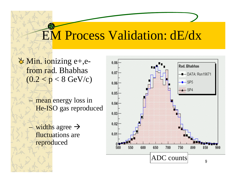## EM Process Validation: dE/dx

 $\forall$  Min. ionizing e+,efrom rad. Bhabhas  $(0.2 < p < 8 \text{ GeV/c})$ 

- mean energy loss in He-ISO gas reproduced
- widths agree  $\rightarrow$ fluctuations are reproduced

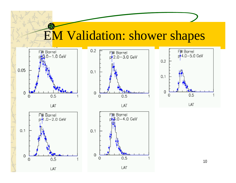# **EM Validation: shower shapes**







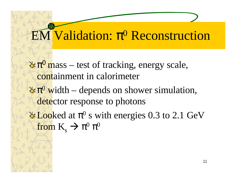# EM Validation: π <sup>0</sup> Reconstruction

- $\pi^0$  mass test of tracking, energy scale, containment in calorimeter
- $\pi^0$  width depends on shower simulation, detector response to photons
- Looked at  $\pi^0$  s with energies 0.3 to 2.1 GeV from  $K_s \rightarrow \pi^0 \pi^0$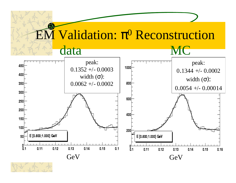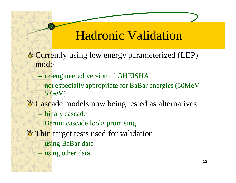## Hadronic Validation

**Currently using low energy parameterized (LEP)** model

- re-engineered version of GHEISHA
- $=$  not especially appropriate for BaBar energies (50MeV 5 GeV)
- **Example 2** Cascade models now being tested as alternatives
	- binary cascade
	- Bertini cascade looks promising
- **Thin** target tests used for validation
	- using BaBar data
	- using other data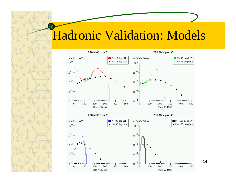## Hadronic Validation: Models

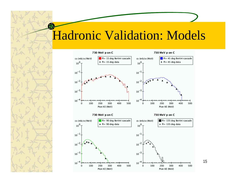### Hadronic Validation: Models



15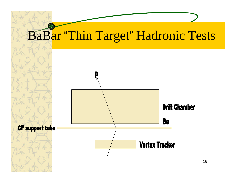

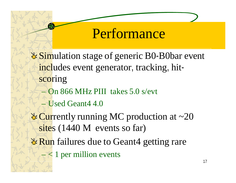# Performance

- **Example 1** Simulation stage of generic B0-B0bar event includes event generator, tracking, hitscoring
	- On 866 MHz PIII takes 5.0 s/evt
	- Used Geant4 4.0
- **Currently running MC production at**  $\sim$ **20** sites (1440 M events so far)
- **& Run** failures due to Geant4 getting rare
	- $\leq 1$  per million events